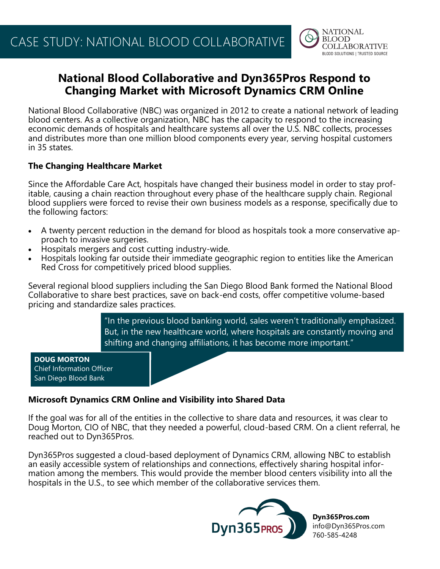

# **National Blood Collaborative and Dyn365Pros Respond to Changing Market with Microsoft Dynamics CRM Online**

National Blood Collaborative (NBC) was organized in 2012 to create a national network of leading blood centers. As a collective organization, NBC has the capacity to respond to the increasing economic demands of hospitals and healthcare systems all over the U.S. NBC collects, processes and distributes more than one million blood components every year, serving hospital customers in 35 states.

## **The Changing Healthcare Market**

Since the Affordable Care Act, hospitals have changed their business model in order to stay profitable, causing a chain reaction throughout every phase of the healthcare supply chain. Regional blood suppliers were forced to revise their own business models as a response, specifically due to the following factors:

- A twenty percent reduction in the demand for blood as hospitals took a more conservative approach to invasive surgeries.
- Hospitals mergers and cost cutting industry-wide.
- Hospitals looking far outside their immediate geographic region to entities like the American Red Cross for competitively priced blood supplies.

Several regional blood suppliers including the San Diego Blood Bank formed the National Blood Collaborative to share best practices, save on back-end costs, offer competitive volume-based pricing and standardize sales practices.

> "In the previous blood banking world, sales weren't traditionally emphasized. But, in the new healthcare world, where hospitals are constantly moving and shifting and changing affiliations, it has become more important."

#### **DOUG MORTON** Chief Information Officer San Diego Blood Bank

# **Microsoft Dynamics CRM Online and Visibility into Shared Data**

If the goal was for all of the entities in the collective to share data and resources, it was clear to Doug Morton, CIO of NBC, that they needed a powerful, cloud-based CRM. On a client referral, he reached out to Dyn365Pros.

Dyn365Pros suggested a cloud-based deployment of Dynamics CRM, allowing NBC to establish an easily accessible system of relationships and connections, effectively sharing hospital information among the members. This would provide the member blood centers visibility into all the hospitals in the U.S., to see which member of the collaborative services them.



**Dyn365Pros.com** info@Dyn365Pros.com 760-585-4248